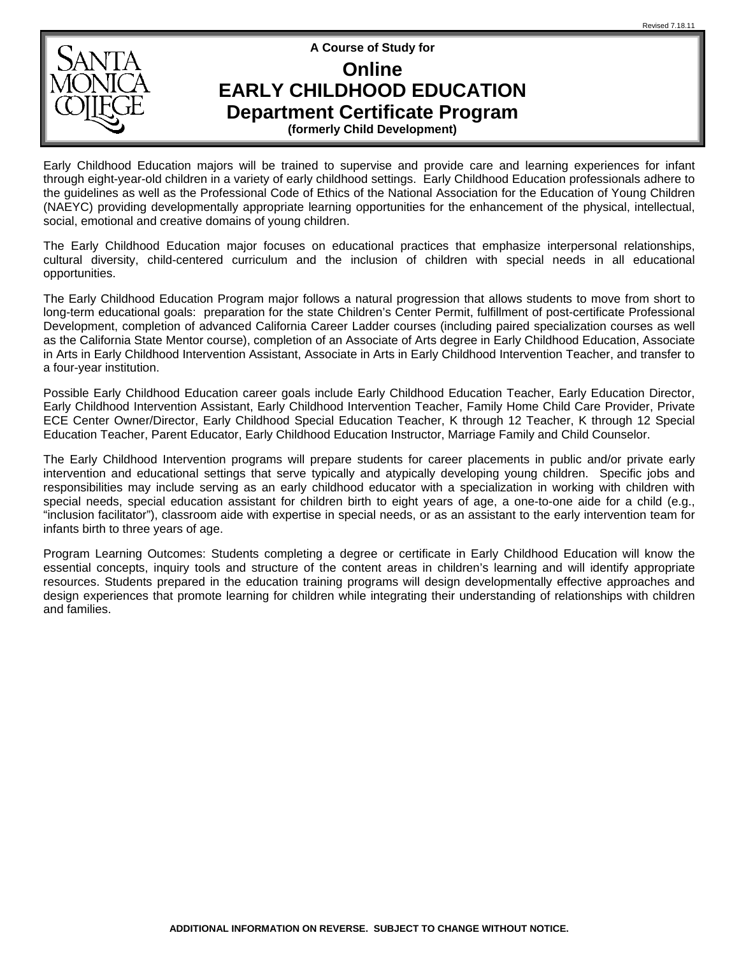

## **Online**

**EARLY CHILDHOOD EDUCATION** 

**Department Certificate Program** 

**(formerly Child Development)** 

Early Childhood Education majors will be trained to supervise and provide care and learning experiences for infant through eight-year-old children in a variety of early childhood settings. Early Childhood Education professionals adhere to the guidelines as well as the Professional Code of Ethics of the National Association for the Education of Young Children (NAEYC) providing developmentally appropriate learning opportunities for the enhancement of the physical, intellectual, social, emotional and creative domains of young children.

The Early Childhood Education major focuses on educational practices that emphasize interpersonal relationships, cultural diversity, child-centered curriculum and the inclusion of children with special needs in all educational opportunities.

The Early Childhood Education Program major follows a natural progression that allows students to move from short to long-term educational goals: preparation for the state Children's Center Permit, fulfillment of post-certificate Professional Development, completion of advanced California Career Ladder courses (including paired specialization courses as well as the California State Mentor course), completion of an Associate of Arts degree in Early Childhood Education, Associate in Arts in Early Childhood Intervention Assistant, Associate in Arts in Early Childhood Intervention Teacher, and transfer to a four-year institution.

Possible Early Childhood Education career goals include Early Childhood Education Teacher, Early Education Director, Early Childhood Intervention Assistant, Early Childhood Intervention Teacher, Family Home Child Care Provider, Private ECE Center Owner/Director, Early Childhood Special Education Teacher, K through 12 Teacher, K through 12 Special Education Teacher, Parent Educator, Early Childhood Education Instructor, Marriage Family and Child Counselor.

The Early Childhood Intervention programs will prepare students for career placements in public and/or private early intervention and educational settings that serve typically and atypically developing young children. Specific jobs and responsibilities may include serving as an early childhood educator with a specialization in working with children with special needs, special education assistant for children birth to eight years of age, a one-to-one aide for a child (e.g., "inclusion facilitator"), classroom aide with expertise in special needs, or as an assistant to the early intervention team for infants birth to three years of age.

Program Learning Outcomes: Students completing a degree or certificate in Early Childhood Education will know the essential concepts, inquiry tools and structure of the content areas in children's learning and will identify appropriate resources. Students prepared in the education training programs will design developmentally effective approaches and design experiences that promote learning for children while integrating their understanding of relationships with children and families.